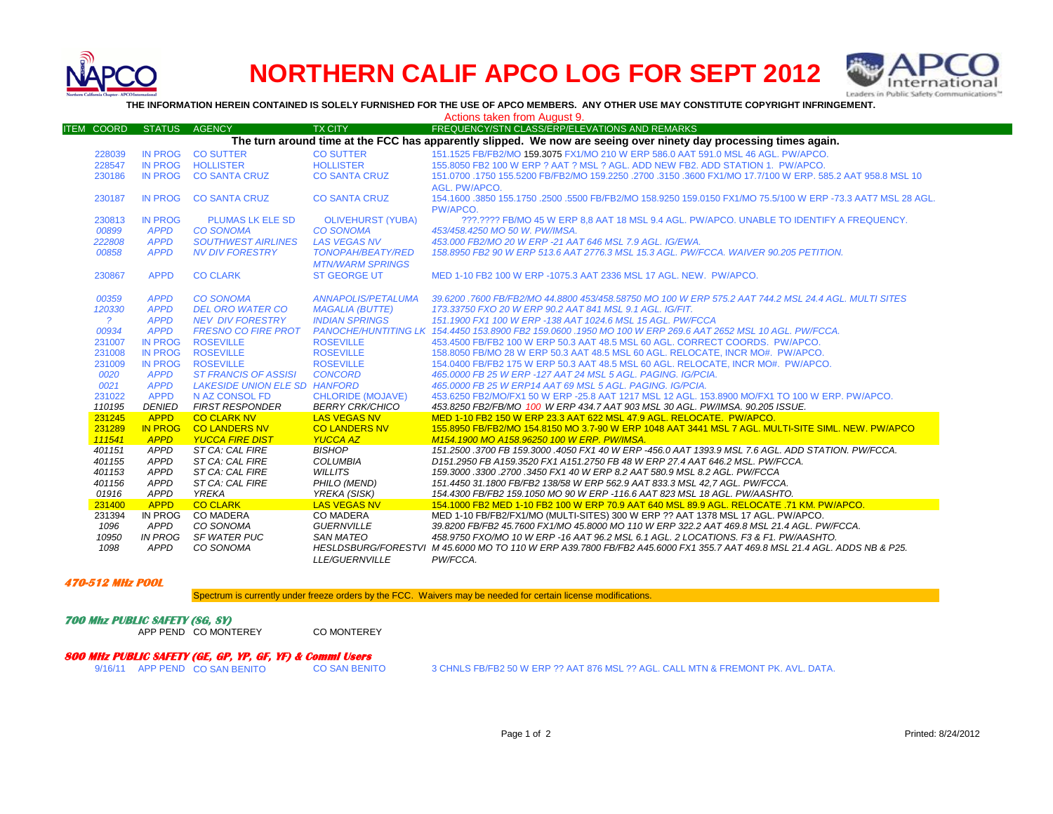

## **NORTHERN CALIF APCO LOG FOR SEPT 2012**



**THE INFORMATION HEREIN CONTAINED IS SOLELY FURNISHED FOR THE USE OF APCO MEMBERS. ANY OTHER USE MAY CONSTITUTE COPYRIGHT INFRINGEMENT.**

Actions taken from August 9.

| <b>ITEM COORD</b>                                                                                                 | <b>STATUS</b>  | <b>AGENCY</b>                 | <b>TX CITY</b>            | FREQUENCY/STN CLASS/ERP/ELEVATIONS AND REMARKS                                                                           |
|-------------------------------------------------------------------------------------------------------------------|----------------|-------------------------------|---------------------------|--------------------------------------------------------------------------------------------------------------------------|
| The turn around time at the FCC has apparently slipped. We now are seeing over ninety day processing times again. |                |                               |                           |                                                                                                                          |
| 228039                                                                                                            | <b>IN PROG</b> | <b>CO SUTTER</b>              | <b>CO SUTTER</b>          | 151.1525 FB/FB2/MO 159.3075 FX1/MO 210 W ERP 586.0 AAT 591.0 MSL 46 AGL. PW/APCO.                                        |
| 228547                                                                                                            | IN PROG        | <b>HOLLISTER</b>              | <b>HOLLISTER</b>          | 155,8050 FB2 100 W ERP ? AAT ? MSL ? AGL. ADD NEW FB2, ADD STATION 1, PW/APCO,                                           |
| 230186                                                                                                            | <b>IN PROG</b> | <b>CO SANTA CRUZ</b>          | <b>CO SANTA CRUZ</b>      | 151.0700 .1750 155.5200 FB/FB2/MO 159.2250 .2700 .3150 .3600 FX1/MO 17.7/100 W ERP. 585.2 AAT 958.8 MSL 10               |
|                                                                                                                   |                |                               |                           | AGL. PW/APCO.                                                                                                            |
| 230187                                                                                                            | <b>IN PROG</b> | <b>CO SANTA CRUZ</b>          | <b>CO SANTA CRUZ</b>      | 154.1600 .3850 155.1750 .2500 .5500 FB/FB2/MO 158.9250 159.0150 FX1/MO 75.5/100 W ERP -73.3 AAT7 MSL 28 AGL.<br>PW/APCO. |
| 230813                                                                                                            | <b>IN PROG</b> | <b>PLUMAS LK ELE SD</b>       | <b>OLIVEHURST (YUBA)</b>  | 222.2222 FB/MO 45 W ERP 8.8 AAT 18 MSL 9.4 AGL, PW/APCO, UNABLE TO IDENTIFY A FREQUENCY.                                 |
| 00899                                                                                                             | <b>APPD</b>    | <b>CO SONOMA</b>              | <b>CO SONOMA</b>          | 453/458.4250 MO 50 W. PW/IMSA.                                                                                           |
| 222808                                                                                                            | <b>APPD</b>    | <b>SOUTHWEST AIRLINES</b>     | <b>LAS VEGAS NV</b>       | 453,000 FB2/MO 20 W ERP -21 AAT 646 MSL 7.9 AGL. IG/EWA.                                                                 |
| 00858                                                                                                             | <b>APPD</b>    | <b>NV DIV FORESTRY</b>        | <b>TONOPAH/BEATY/RED</b>  | 158.8950 FB2 90 W ERP 513.6 AAT 2776.3 MSL 15.3 AGL, PW/FCCA, WAIVER 90.205 PETITION.                                    |
|                                                                                                                   |                |                               | <b>MTN/WARM SPRINGS</b>   |                                                                                                                          |
| 230867                                                                                                            | <b>APPD</b>    | <b>CO CLARK</b>               | <b>ST GEORGE UT</b>       | MED 1-10 FB2 100 W ERP -1075.3 AAT 2336 MSL 17 AGL, NEW. PW/APCO.                                                        |
|                                                                                                                   |                |                               |                           |                                                                                                                          |
| 00359                                                                                                             | <b>APPD</b>    | <b>CO SONOMA</b>              | <b>ANNAPOLIS/PETALUMA</b> | 39.6200 .7600 FB/FB2/MO 44.8800 453/458.58750 MO 100 W ERP 575.2 AAT 744.2 MSL 24.4 AGL. MULTI SITES                     |
| 120330                                                                                                            | <b>APPD</b>    | <b>DEL ORO WATER CO</b>       | <b>MAGALIA (BUTTE)</b>    | 173.33750 FXO 20 W ERP 90.2 AAT 841 MSL 9.1 AGL. IG/FIT.                                                                 |
| 2                                                                                                                 | <b>APPD</b>    | <b>NEV DIV FORESTRY</b>       | <b>INDIAN SPRINGS</b>     | 151.1900 FX1 100 W ERP -138 AAT 1024.6 MSL 15 AGL, PW/FCCA                                                               |
| 00934                                                                                                             | <b>APPD</b>    | <b>FRESNO CO FIRE PROT</b>    |                           | PANOCHE/HUNTITING LK 154.4450 153.8900 FB2 159.0600 .1950 MO 100 W ERP 269.6 AAT 2652 MSL 10 AGL. PW/FCCA.               |
| 231007                                                                                                            | <b>IN PROG</b> | <b>ROSEVILLE</b>              | <b>ROSEVILLE</b>          | 453.4500 FB/FB2 100 W ERP 50.3 AAT 48.5 MSL 60 AGL, CORRECT COORDS, PW/APCO,                                             |
| 231008                                                                                                            | <b>IN PROG</b> | <b>ROSEVILLE</b>              | <b>ROSEVILLE</b>          | 158,8050 FB/MO 28 W ERP 50.3 AAT 48.5 MSL 60 AGL, RELOCATE, INCR MO#, PW/APCO,                                           |
| 231009                                                                                                            | <b>IN PROG</b> | <b>ROSEVILLE</b>              | <b>ROSEVILLE</b>          | 154,0400 FB/FB2 175 W ERP 50.3 AAT 48.5 MSL 60 AGL. RELOCATE. INCR MO#. PW/APCO.                                         |
| 0020                                                                                                              | <b>APPD</b>    | <b>ST FRANCIS OF ASSISI</b>   | <b>CONCORD</b>            | 465,0000 FB 25 W ERP -127 AAT 24 MSL 5 AGL, PAGING, IG/PCIA.                                                             |
| 0021                                                                                                              | <b>APPD</b>    | LAKESIDE UNION ELE SD HANFORD |                           | 465,0000 FB 25 W ERP14 AAT 69 MSL 5 AGL, PAGING, IG/PCIA.                                                                |
| 231022                                                                                                            | <b>APPD</b>    | N AZ CONSOL FD                | <b>CHLORIDE (MOJAVE)</b>  | 453,6250 FB2/MO/FX1 50 W ERP -25.8 AAT 1217 MSL 12 AGL, 153,8900 MO/FX1 TO 100 W ERP, PW/APCO,                           |
| 110195                                                                                                            | <b>DENIED</b>  | <b>FIRST RESPONDER</b>        | <b>BERRY CRK/CHICO</b>    | 453.8250 FB2/FB/MO 100 W ERP 434.7 AAT 903 MSL 30 AGL. PW/IMSA. 90.205 ISSUE.                                            |
| 231245                                                                                                            | <b>APPD</b>    | <b>CO CLARK NV</b>            | <b>LAS VEGAS NV</b>       | MED 1-10 FB2 150 W ERP 23.3 AAT 622 MSL 47.9 AGL. RELOCATE. PW/APCO.                                                     |
| 231289                                                                                                            | <b>IN PROG</b> | <b>CO LANDERS NV</b>          | <b>CO LANDERS NV</b>      | 155.8950 FB/FB2/MO 154.8150 MO 3.7-90 W ERP 1048 AAT 3441 MSL 7 AGL. MULTI-SITE SIML. NEW. PW/APCO                       |
| 111541                                                                                                            | <b>APPD</b>    | <b>YUCCA FIRE DIST</b>        | <b>YUCCA AZ</b>           | M154.1900 MO A158.96250 100 W ERP. PW/IMSA.                                                                              |
| 401151                                                                                                            | APPD           | ST CA: CAL FIRE               | <b>BISHOP</b>             | 151.2500 .3700 FB 159.3000 .4050 FX1 40 W ERP -456.0 AAT 1393.9 MSL 7.6 AGL, ADD STATION, PW/FCCA.                       |
| 401155                                                                                                            | APPD           | ST CA: CAL FIRE               | <b>COLUMBIA</b>           | D151.2950 FB A159.3520 FX1 A151.2750 FB 48 W ERP 27.4 AAT 646.2 MSL. PW/FCCA.                                            |
| 401153                                                                                                            | <b>APPD</b>    | ST CA: CAL FIRE               | <b>WILLITS</b>            | 159.3000.3300.2700.3450 FX1 40 W ERP 8.2 AAT 580.9 MSL 8.2 AGL. PW/FCCA                                                  |
| 401156                                                                                                            | <b>APPD</b>    | ST CA: CAL FIRE               | PHILO (MEND)              | 151.4450 31.1800 FB/FB2 138/58 W ERP 562.9 AAT 833.3 MSL 42.7 AGL. PW/FCCA.                                              |
| 01916                                                                                                             | <b>APPD</b>    | <b>YREKA</b>                  | YREKA (SISK)              | 154.4300 FB/FB2 159.1050 MO 90 W ERP -116.6 AAT 823 MSL 18 AGL. PW/AASHTO.                                               |
| 231400                                                                                                            | <b>APPD</b>    | <b>CO CLARK</b>               | LAS VEGAS NV              | 154.1000 FB2 MED 1-10 FB2 100 W ERP 70.9 AAT 640 MSL 89.9 AGL. RELOCATE .71 KM. PW/APCO.                                 |
| 231394                                                                                                            | IN PROG        | <b>CO MADERA</b>              | <b>CO MADERA</b>          | MED 1-10 FB/FB2/FX1/MO (MULTI-SITES) 300 W ERP ?? AAT 1378 MSL 17 AGL. PW/APCO.                                          |
| 1096                                                                                                              | APPD           | CO SONOMA                     | <b>GUERNVILLE</b>         | 39.8200 FB/FB2 45.7600 FX1/MO 45.8000 MO 110 W ERP 322.2 AAT 469.8 MSL 21.4 AGL, PW/FCCA,                                |
| 10950                                                                                                             | <b>IN PROG</b> | SF WATER PUC                  | SAN MATEO                 | 458.9750 FXO/MO 10 W ERP -16 AAT 96.2 MSL 6.1 AGL. 2 LOCATIONS. F3 & F1. PW/AASHTO.                                      |
| 1098                                                                                                              | <b>APPD</b>    | CO SONOMA                     |                           | HESLDSBURG/FORESTVI M 45.6000 MO TO 110 W ERP A39.7800 FB/FB2 A45.6000 FX1 355.7 AAT 469.8 MSL 21.4 AGL. ADDS NB & P25.  |
|                                                                                                                   |                |                               | <b>LLE/GUERNVILLE</b>     | PW/FCCA.                                                                                                                 |

**470-512 MHz POOL**

Spectrum is currently under freeze orders by the FCC. Waivers may be needed for certain license modifications.

**700 Mhz PUBLIC SAFETY (SG, SY)** APP PEND CO MONTEREY CO MONTEREY

## **800 MHz PUBLIC SAFETY (GE, GP, YP, GF, YF) & Comml Users**

3 CHNLS FB/FB2 50 W ERP ?? AAT 876 MSL ?? AGL. CALL MTN & FREMONT PK. AVL. DATA.